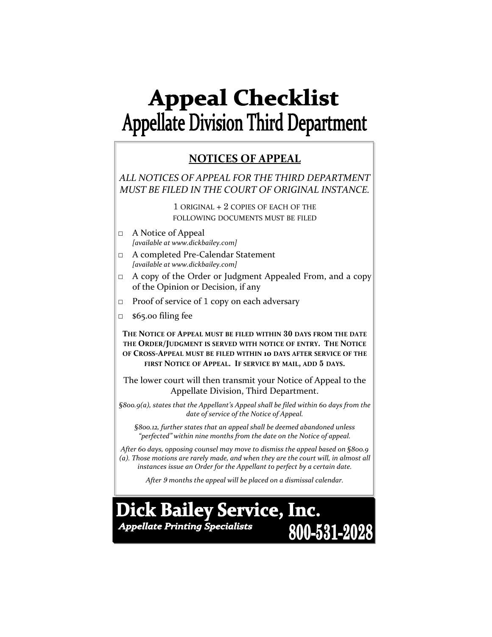# **Appeal Checklist Appellate Division Third Department**

## **NOTICES OF APPEAL**

*ALL NOTICES OF APPEAL FOR THE THIRD DEPARTMENT MUST BE FILED IN THE COURT OF ORIGINAL INSTANCE.*

> 1 ORIGINAL + 2 COPIES OF EACH OF THE FOLLOWING DOCUMENTS MUST BE FILED

- □ A Notice of Appeal *[available at www.dickbailey.com]*
- □ A completed Pre‐Calendar Statement *[available at www.dickbailey.com]*
- □ A copy of the Order or Judgment Appealed From, and a copy of the Opinion or Decision, if any
- $\Box$  Proof of service of 1 copy on each adversary
- □ \$65.00 filing fee

**THE NOTICE OF APPEAL MUST BE FILED WITHIN 30 DAYS FROM THE DATE THE ORDER/JUDGMENT IS SERVED WITH NOTICE OF ENTRY. THE NOTICE OF CROSS‐APPEAL MUST BE FILED WITHIN 10 DAYS AFTER SERVICE OF THE FIRST NOTICE OF APPEAL. IF SERVICE BY MAIL, ADD 5 DAYS.**

The lower court will then transmit your Notice of Appeal to the Appellate Division, Third Department.

*§800.9(a), states that the Appellant's Appeal shall be filed within 60 days from the date of service of the Notice of Appeal.*

*§800.12, further states that an appeal shall be deemed abandoned unless "perfected" within nine months from the date on the Notice of appeal.* 

*After 60 days, opposing counsel may move to dismiss the appeal based on §800.9 (a). Those motions are rarely made, and when they are the court will, in almost all instances issue an Order for the Appellant to perfect by a certain date.*

*After 9 months the appeal will be placed on a dismissal calendar.*

**Dick Bailey Service, Inc. Appellate Printing Specialists** 800-531-2028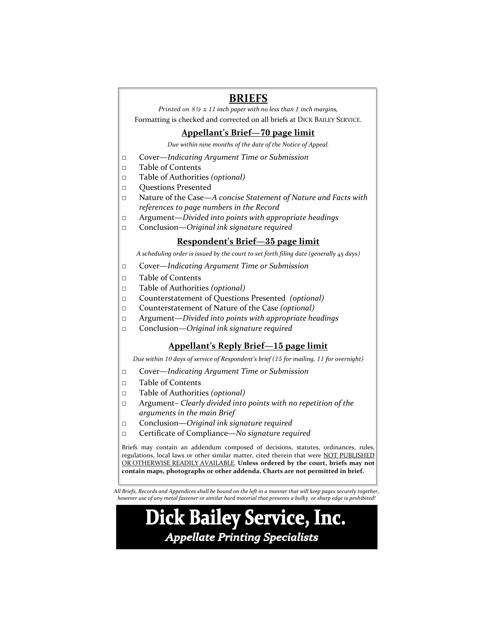### **BRIEFS**

*Printed on 8*<sup>2</sup> *x 11 inch paper with no less than 1 inch margins,*  Formatting is checked and corrected on all briefs at DICK BAILEY SERVICE.

#### **Appellant's Brief—70 page limit**

*Due within nine months of the date of the Notice of Appeal.*

- □ Cover—*Indicating Argument Time or Submission*
- □ Table of Contents
- □ Table of Authorities *(optional)*
- □ Questions Presented
- □ Nature of the Case—*A concise Statement of Nature and Facts with references to page numbers in the Record*
- □ Argument—*Divided into points with appropriate headings*
- □ Conclusion—*Original ink signature required*

#### **Respondent's Brief—35 page limit**

*A scheduling order is issued by the court to set forth filing date (generally 45 days)*

- □ Cover—*Indicating Argument Time or Submission*
- □ Table of Contents
- □ Table of Authorities *(optional)*
- □ Counterstatement of Questions Presented *(optional)*
- □ Counterstatement of Nature of the Case *(optional)*
- □ Argument—*Divided into points with appropriate headings*
- □ Conclusion—*Original ink signature required*

#### **Appellant's Reply Brief—15 page limit**

*Due within 10 days of service of Respondent's brief (15 for mailing, 11 for overnight)*

- □ Cover—*Indicating Argument Time or Submission*
- □ Table of Contents
- □ Table of Authorities *(optional)*
- □ Argument– *Clearly divided into points with no repetition of the arguments in the main Brief*
- □ Conclusion—*Original ink signature required*
- □ Certificate of Compliance*—No signature required*

Briefs may contain an addendum composed of decisions, statutes, ordinances, rules, regulations, local laws or other similar matter, cited therein that were NOT PUBLISHED OR OTHERWISE READILY AVAILABLE. **Unless ordered by the court, briefs may not contain maps, photographs or other addenda. Charts are not permitted in brief.**

All Briefs, Records and Appendices shall be bound on the left in a manner that will keep pages securely together, however use of any metal fastener or similar hard material that presents a bulky or sharp edge is prohibited!

## **Dick Bailey Service, Inc. Appellate Printing Specialists**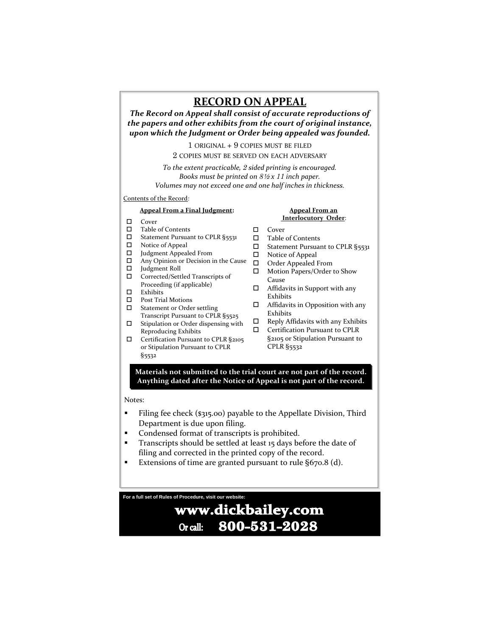## **RECORD ON APPEAL**

*The Record on Appeal shall consist of accurate reproductions of the papers and other exhibits from the court of original instance, upon which the Judgment or Order being appealed was founded.*

1 ORIGINAL + 9 COPIES MUST BE FILED

2 COPIES MUST BE SERVED ON EACH ADVERSARY

*To the extent practicable, 2 sided printing is encouraged. Books must be printed on 8*<sup>2</sup> *x 11 inch paper. Volumes may not exceed one and one half inches in thickness.*

#### Contents of the Record:

#### **Appeal From a Final Judgment:**

- □ Cover
- Table of Contents
- $\Box$  Statement Pursuant to CPLR §5531
- □ Notice of Appeal
- Judgment Appealed From
- $\Box$  Any Opinion or Decision in the Cause  $\Box$
- Judgment Roll
- □ Corrected/Settled Transcripts of Proceeding (if applicable)
- $\hfill \Box$ <br> <br> Exhibits
- □ Post Trial Motions
- □ Statement or Order settling Transcript Pursuant to CPLR §5525
- $\square$  Stipulation or Order dispensing with Reproducing Exhibits
- □ Certification Pursuant to CPLR §2105 or Stipulation Pursuant to CPLR §5532

#### **Appeal From an Interlocutory Order**:

- □ Cover
- □ Table of Contents
- □ Statement Pursuant to CPLR §5531
- □ Notice of Appeal
- Order Appealed From
- □ Motion Papers/Order to Show Cause
- □ Affidavits in Support with any Exhibits
- Affidavits in Opposition with any Exhibits
- $\Box$  Reply Affidavits with any Exhibits
- Certification Pursuant to CPLR §2105 or Stipulation Pursuant to CPLR §5532

**Materials not submitted to the trial court are not part of the record. Anything dated after the Notice of Appeal is not part of the record.** 

#### Notes:

- Filing fee check (\$315.00) payable to the Appellate Division, Third Department is due upon filing.
- **Condensed format of transcripts is prohibited.**
- **Transcripts should be settled at least 15 days before the date of** filing and corrected in the printed copy of the record.
- Extensions of time are granted pursuant to rule §670.8 (d).

**For a full set of Rules of Procedure, visit our website:** 

#### www.dickbailey.com 800-531-2028 Or call: